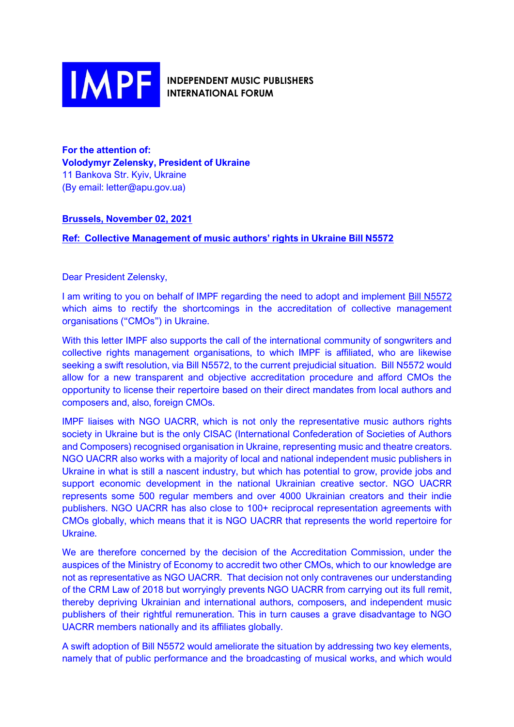

**INDEPENDENT MUSIC PUBLISHERS INTERNATIONAL FORUM** 

**For the attention of: Volodymyr Zelensky, President of Ukraine** 11 Bankova Str. Kyiv, Ukraine (By email: letter@apu.gov.ua)

## **Brussels, November 02, 2021**

**Ref: Collective Management of music authors' rights in Ukraine Bill N5572**

Dear President Zelensky,

I am writing to you on behalf of IMPF regarding the need to adopt and implement Bill N5572 which aims to rectify the shortcomings in the accreditation of collective management organisations ("CMOs") in Ukraine.

With this letter IMPF also supports the call of the international community of songwriters and collective rights management organisations, to which IMPF is affiliated, who are likewise seeking a swift resolution, via Bill N5572, to the current prejudicial situation. Bill N5572 would allow for a new transparent and objective accreditation procedure and afford CMOs the opportunity to license their repertoire based on their direct mandates from local authors and composers and, also, foreign CMOs.

IMPF liaises with NGO UACRR, which is not only the representative music authors rights society in Ukraine but is the only CISAC (International Confederation of Societies of Authors and Composers) recognised organisation in Ukraine, representing music and theatre creators. NGO UACRR also works with a majority of local and national independent music publishers in Ukraine in what is still a nascent industry, but which has potential to grow, provide jobs and support economic development in the national Ukrainian creative sector. NGO UACRR represents some 500 regular members and over 4000 Ukrainian creators and their indie publishers. NGO UACRR has also close to 100+ reciprocal representation agreements with CMOs globally, which means that it is NGO UACRR that represents the world repertoire for Ukraine.

We are therefore concerned by the decision of the Accreditation Commission, under the auspices of the Ministry of Economy to accredit two other CMOs, which to our knowledge are not as representative as NGO UACRR. That decision not only contravenes our understanding of the CRM Law of 2018 but worryingly prevents NGO UACRR from carrying out its full remit, thereby depriving Ukrainian and international authors, composers, and independent music publishers of their rightful remuneration. This in turn causes a grave disadvantage to NGO UACRR members nationally and its affiliates globally.

A swift adoption of Bill N5572 would ameliorate the situation by addressing two key elements, namely that of public performance and the broadcasting of musical works, and which would